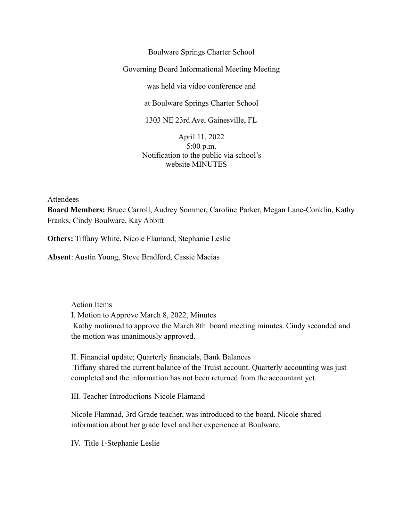Boulware Springs Charter School Governing Board Informational Meeting Meeting was held via video conference and at Boulware Springs Charter School 1303 NE 23rd Ave, Gainesville, FL April 11, 2022

5:00 p.m. Notification to the public via school's website MINUTES

Attendees

**Board Members:** Bruce Carroll, Audrey Sommer, Caroline Parker, Megan Lane-Conklin, Kathy Franks, Cindy Boulware, Kay Abbitt

**Others:** Tiffany White, Nicole Flamand, Stephanie Leslie

**Absent**: Austin Young, Steve Bradford, Cassie Macias

Action Items I. Motion to Approve March 8, 2022, Minutes Kathy motioned to approve the March 8th board meeting minutes. Cindy seconded and the motion was unanimously approved.

II. Financial update; Quarterly financials, Bank Balances Tiffany shared the current balance of the Truist account. Quarterly accounting was just completed and the information has not been returned from the accountant yet.

III. Teacher Introductions-Nicole Flamand

Nicole Flamnad, 3rd Grade teacher, was introduced to the board. Nicole shared information about her grade level and her experience at Boulware.

IV. Title 1-Stephanie Leslie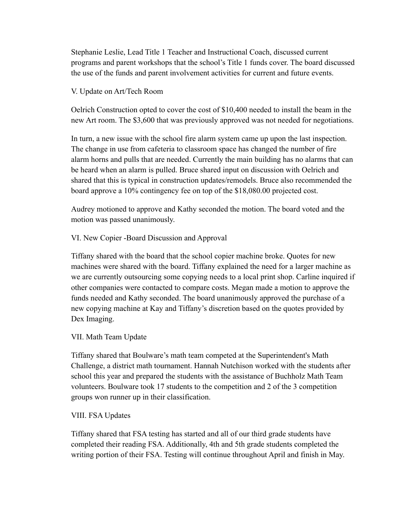Stephanie Leslie, Lead Title 1 Teacher and Instructional Coach, discussed current programs and parent workshops that the school's Title 1 funds cover. The board discussed the use of the funds and parent involvement activities for current and future events.

### V. Update on Art/Tech Room

Oelrich Construction opted to cover the cost of \$10,400 needed to install the beam in the new Art room. The \$3,600 that was previously approved was not needed for negotiations.

In turn, a new issue with the school fire alarm system came up upon the last inspection. The change in use from cafeteria to classroom space has changed the number of fire alarm horns and pulls that are needed. Currently the main building has no alarms that can be heard when an alarm is pulled. Bruce shared input on discussion with Oelrich and shared that this is typical in construction updates/remodels. Bruce also recommended the board approve a 10% contingency fee on top of the \$18,080.00 projected cost.

Audrey motioned to approve and Kathy seconded the motion. The board voted and the motion was passed unanimously.

VI. New Copier -Board Discussion and Approval

Tiffany shared with the board that the school copier machine broke. Quotes for new machines were shared with the board. Tiffany explained the need for a larger machine as we are currently outsourcing some copying needs to a local print shop. Carline inquired if other companies were contacted to compare costs. Megan made a motion to approve the funds needed and Kathy seconded. The board unanimously approved the purchase of a new copying machine at Kay and Tiffany's discretion based on the quotes provided by Dex Imaging.

### VII. Math Team Update

Tiffany shared that Boulware's math team competed at the Superintendent's Math Challenge, a district math tournament. Hannah Nutchison worked with the students after school this year and prepared the students with the assistance of Buchholz Math Team volunteers. Boulware took 17 students to the competition and 2 of the 3 competition groups won runner up in their classification.

#### VIII. FSA Updates

Tiffany shared that FSA testing has started and all of our third grade students have completed their reading FSA. Additionally, 4th and 5th grade students completed the writing portion of their FSA. Testing will continue throughout April and finish in May.